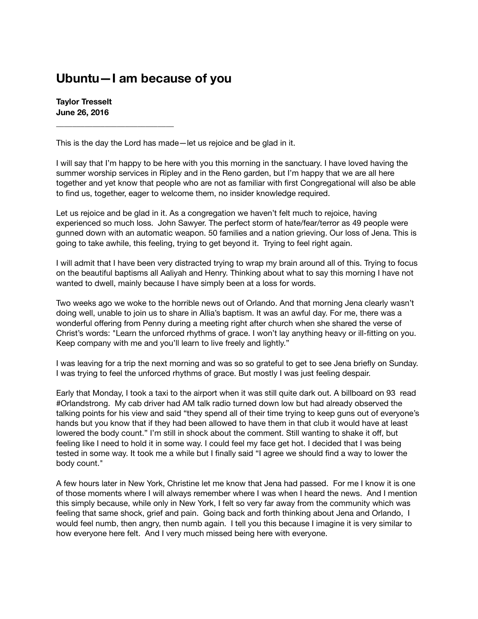## **Ubuntu—I am because of you**

**Taylor Tresselt June 26, 2016**

**\_\_\_\_\_\_\_\_\_\_\_\_\_\_\_\_\_\_\_\_\_\_\_\_\_\_\_\_\_**

This is the day the Lord has made—let us rejoice and be glad in it.

I will say that I'm happy to be here with you this morning in the sanctuary. I have loved having the summer worship services in Ripley and in the Reno garden, but I'm happy that we are all here together and yet know that people who are not as familiar with first Congregational will also be able to find us, together, eager to welcome them, no insider knowledge required.

Let us rejoice and be glad in it. As a congregation we haven't felt much to rejoice, having experienced so much loss. John Sawyer. The perfect storm of hate/fear/terror as 49 people were gunned down with an automatic weapon. 50 families and a nation grieving. Our loss of Jena. This is going to take awhile, this feeling, trying to get beyond it. Trying to feel right again.

I will admit that I have been very distracted trying to wrap my brain around all of this. Trying to focus on the beautiful baptisms all Aaliyah and Henry. Thinking about what to say this morning I have not wanted to dwell, mainly because I have simply been at a loss for words.

Two weeks ago we woke to the horrible news out of Orlando. And that morning Jena clearly wasn't doing well, unable to join us to share in Allia's baptism. It was an awful day. For me, there was a wonderful offering from Penny during a meeting right after church when she shared the verse of Christ's words: "Learn the unforced rhythms of grace. I won't lay anything heavy or ill-fitting on you. Keep company with me and you'll learn to live freely and lightly."

I was leaving for a trip the next morning and was so so grateful to get to see Jena briefly on Sunday. I was trying to feel the unforced rhythms of grace. But mostly I was just feeling despair.

Early that Monday, I took a taxi to the airport when it was still quite dark out. A billboard on 93 read #Orlandstrong. My cab driver had AM talk radio turned down low but had already observed the talking points for his view and said "they spend all of their time trying to keep guns out of everyone's hands but you know that if they had been allowed to have them in that club it would have at least lowered the body count." I'm still in shock about the comment. Still wanting to shake it off, but feeling like I need to hold it in some way. I could feel my face get hot. I decided that I was being tested in some way. It took me a while but I finally said "I agree we should find a way to lower the body count."

A few hours later in New York, Christine let me know that Jena had passed. For me I know it is one of those moments where I will always remember where I was when I heard the news. And I mention this simply because, while only in New York, I felt so very far away from the community which was feeling that same shock, grief and pain. Going back and forth thinking about Jena and Orlando, I would feel numb, then angry, then numb again. I tell you this because I imagine it is very similar to how everyone here felt. And I very much missed being here with everyone.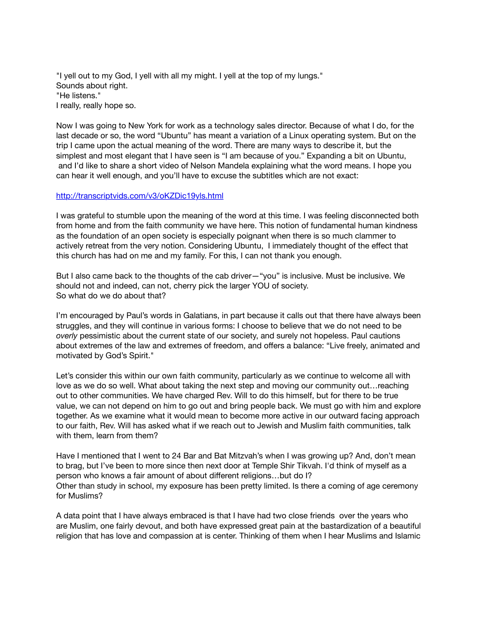"I yell out to my God, I yell with all my might. I yell at the top of my lungs." Sounds about right. "He listens." I really, really hope so.

Now I was going to New York for work as a technology sales director. Because of what I do, for the last decade or so, the word "Ubuntu" has meant a variation of a Linux operating system. But on the trip I came upon the actual meaning of the word. There are many ways to describe it, but the simplest and most elegant that I have seen is "I am because of you." Expanding a bit on Ubuntu, and I'd like to share a short video of Nelson Mandela explaining what the word means. I hope you can hear it well enough, and you'll have to excuse the subtitles which are not exact:

## <http://transcriptvids.com/v3/oKZDic19yls.html>

I was grateful to stumble upon the meaning of the word at this time. I was feeling disconnected both from home and from the faith community we have here. This notion of fundamental human kindness as the foundation of an open society is especially poignant when there is so much clammer to actively retreat from the very notion. Considering Ubuntu, I immediately thought of the effect that this church has had on me and my family. For this, I can not thank you enough.

But I also came back to the thoughts of the cab driver—"you" is inclusive. Must be inclusive. We should not and indeed, can not, cherry pick the larger YOU of society. So what do we do about that?

I'm encouraged by Paul's words in Galatians, in part because it calls out that there have always been struggles, and they will continue in various forms: I choose to believe that we do not need to be *overly* pessimistic about the current state of our society, and surely not hopeless. Paul cautions about extremes of the law and extremes of freedom, and offers a balance: "Live freely, animated and motivated by God's Spirit."

Let's consider this within our own faith community, particularly as we continue to welcome all with love as we do so well. What about taking the next step and moving our community out…reaching out to other communities. We have charged Rev. Will to do this himself, but for there to be true value, we can not depend on him to go out and bring people back. We must go with him and explore together. As we examine what it would mean to become more active in our outward facing approach to our faith, Rev. Will has asked what if we reach out to Jewish and Muslim faith communities, talk with them, learn from them?

Have I mentioned that I went to 24 Bar and Bat Mitzvah's when I was growing up? And, don't mean to brag, but I've been to more since then next door at Temple Shir Tikvah. I'd think of myself as a person who knows a fair amount of about different religions…but do I? Other than study in school, my exposure has been pretty limited. Is there a coming of age ceremony for Muslims?

A data point that I have always embraced is that I have had two close friends over the years who are Muslim, one fairly devout, and both have expressed great pain at the bastardization of a beautiful religion that has love and compassion at is center. Thinking of them when I hear Muslims and Islamic